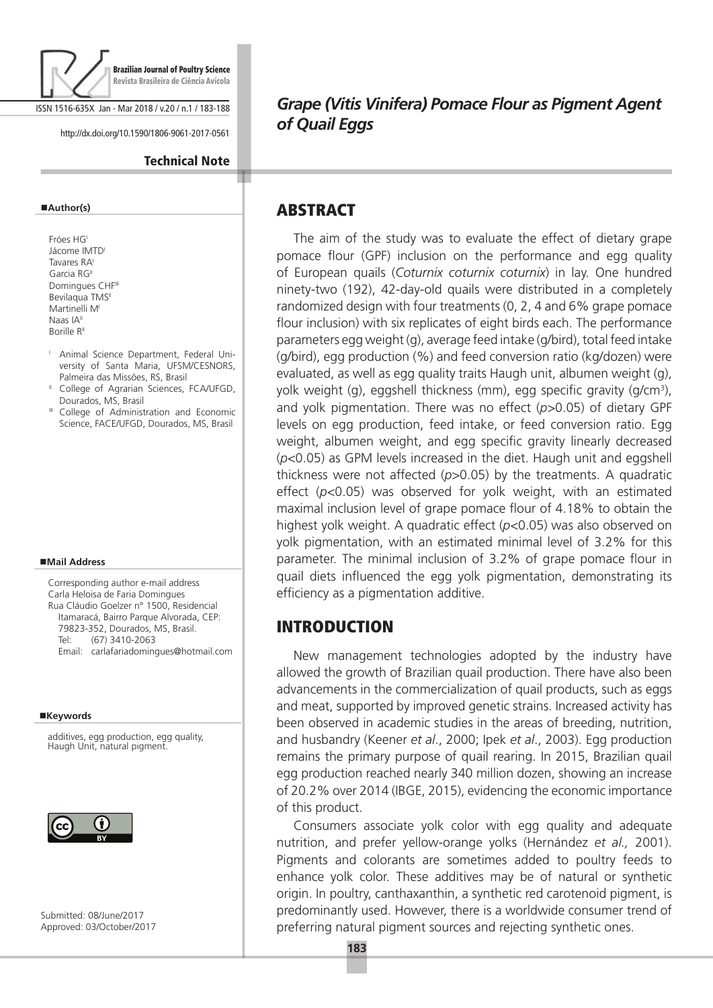

ISSN 1516-635X Jan - Mar 2018 / v.20 / n.1 / 183-188

http://dx.doi.org/10.1590/1806-9061-2017-0561

#### Technical Note

#### **Author(s)**

- Fróes HGI Jácome IMTD Tavares RA Garcia RG<sup>II</sup> Domingues CHF<sup>III</sup> Bevilaqua TMS<sup>II</sup> Martinelli M Naas IA<sup>II</sup> Borille R<sup>II</sup>
- <sup>I</sup> Animal Science Department, Federal University of Santa Maria, UFSM/CESNORS, Palmeira das Missões, RS, Brasil
- <sup>II</sup> College of Agrarian Sciences, FCA/UFGD, Dourados, MS, Brasil
- III College of Administration and Economic Science, FACE/UFGD, Dourados, MS, Brasil

#### **Mail Address**

Corresponding author e-mail address Carla Heloisa de Faria Domingues Rua Cláudio Goelzer n° 1500, Residencial Itamaracá, Bairro Parque Alvorada, CEP: 79823-352, Dourados, MS, Brasil. Tel: (67) 3410-2063 Email: carlafariadomingues@hotmail.com

#### **Keywords**

additives, egg production, egg quality, Haugh Unit, natural pigment.



Submitted: 08/June/2017 Approved: 03/October/2017

*Grape (Vitis Vinifera) Pomace Flour as Pigment Agent of Quail Eggs*

## **ABSTRACT**

The aim of the study was to evaluate the effect of dietary grape pomace flour (GPF) inclusion on the performance and egg quality of European quails (*Coturnix coturnix coturnix*) in lay. One hundred ninety-two (192), 42-day-old quails were distributed in a completely randomized design with four treatments (0, 2, 4 and 6% grape pomace flour inclusion) with six replicates of eight birds each. The performance parameters egg weight (g), average feed intake (g/bird), total feed intake (g/bird), egg production (%) and feed conversion ratio (kg/dozen) were evaluated, as well as egg quality traits Haugh unit, albumen weight (g), yolk weight (g), eggshell thickness (mm), egg specific gravity (g/cm<sup>3</sup>), and yolk pigmentation. There was no effect (*p>*0.05) of dietary GPF levels on egg production, feed intake, or feed conversion ratio. Egg weight, albumen weight, and egg specific gravity linearly decreased (*p<*0.05) as GPM levels increased in the diet. Haugh unit and eggshell thickness were not affected (*p>*0.05) by the treatments. A quadratic effect (*p<*0.05) was observed for yolk weight, with an estimated maximal inclusion level of grape pomace flour of 4.18% to obtain the highest yolk weight. A quadratic effect (*p<*0.05) was also observed on yolk pigmentation, with an estimated minimal level of 3.2% for this parameter. The minimal inclusion of 3.2% of grape pomace flour in quail diets influenced the egg yolk pigmentation, demonstrating its efficiency as a pigmentation additive.

### INTRODUCTION

New management technologies adopted by the industry have allowed the growth of Brazilian quail production. There have also been advancements in the commercialization of quail products, such as eggs and meat, supported by improved genetic strains. Increased activity has been observed in academic studies in the areas of breeding, nutrition, and husbandry (Keener *et al*., 2000; Ipek *et al*., 2003). Egg production remains the primary purpose of quail rearing. In 2015, Brazilian quail egg production reached nearly 340 million dozen, showing an increase of 20.2% over 2014 (IBGE, 2015), evidencing the economic importance of this product.

Consumers associate yolk color with egg quality and adequate nutrition, and prefer yellow-orange yolks (Hernández *et al.,* 2001). Pigments and colorants are sometimes added to poultry feeds to enhance yolk color. These additives may be of natural or synthetic origin. In poultry, canthaxanthin, a synthetic red carotenoid pigment, is predominantly used. However, there is a worldwide consumer trend of preferring natural pigment sources and rejecting synthetic ones.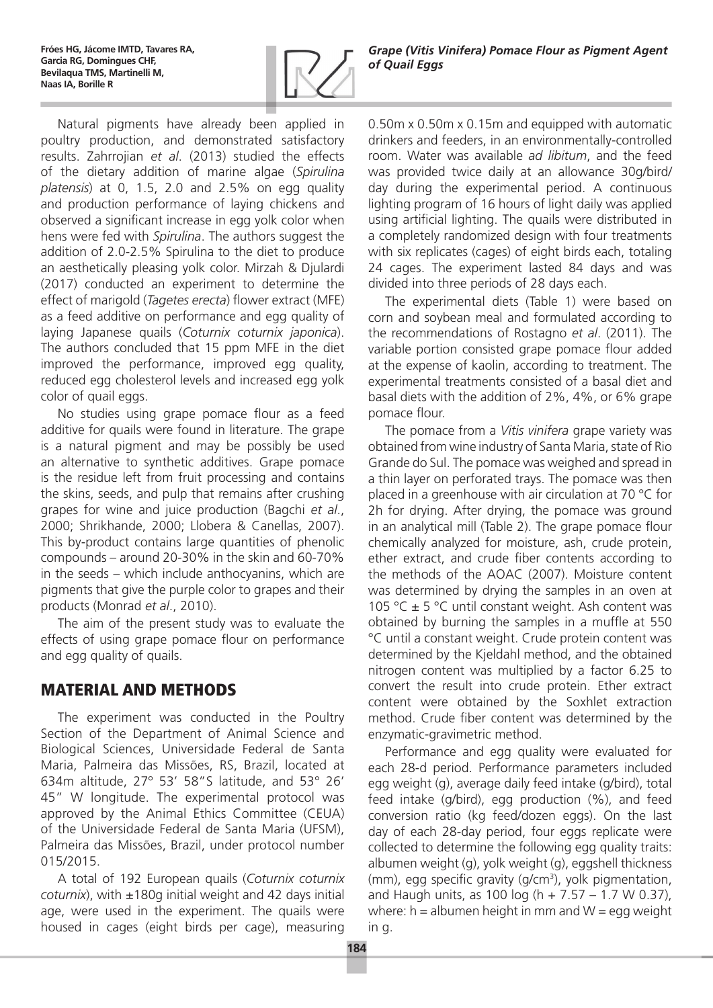

Natural pigments have already been applied in poultry production, and demonstrated satisfactory results. Zahrrojian *et al*. (2013) studied the effects of the dietary addition of marine algae (*Spirulina platensis*) at 0, 1.5, 2.0 and 2.5% on egg quality and production performance of laying chickens and observed a significant increase in egg yolk color when hens were fed with *Spirulina*. The authors suggest the addition of 2.0-2.5% Spirulina to the diet to produce an aesthetically pleasing yolk color. Mirzah & Djulardi (2017) conducted an experiment to determine the effect of marigold (*Tagetes erecta*) flower extract (MFE) as a feed additive on performance and egg quality of laying Japanese quails (*Coturnix coturnix japonica*). The authors concluded that 15 ppm MFE in the diet improved the performance, improved egg quality, reduced egg cholesterol levels and increased egg yolk color of quail eggs.

No studies using grape pomace flour as a feed additive for quails were found in literature. The grape is a natural pigment and may be possibly be used an alternative to synthetic additives. Grape pomace is the residue left from fruit processing and contains the skins, seeds, and pulp that remains after crushing grapes for wine and juice production (Bagchi *et al*., 2000; Shrikhande, 2000; Llobera & Canellas, 2007). This by-product contains large quantities of phenolic compounds – around 20-30% in the skin and 60-70% in the seeds – which include anthocyanins, which are pigments that give the purple color to grapes and their products (Monrad *et al*., 2010).

The aim of the present study was to evaluate the effects of using grape pomace flour on performance and egg quality of quails.

# MATERIAL AND METHODS

The experiment was conducted in the Poultry Section of the Department of Animal Science and Biological Sciences, Universidade Federal de Santa Maria, Palmeira das Missões, RS, Brazil, located at 634m altitude, 27º 53' 58"S latitude, and 53° 26' 45" W longitude. The experimental protocol was approved by the Animal Ethics Committee (CEUA) of the Universidade Federal de Santa Maria (UFSM), Palmeira das Missões, Brazil, under protocol number 015/2015.

A total of 192 European quails (*Coturnix coturnix coturnix*), with ±180g initial weight and 42 days initial age, were used in the experiment. The quails were housed in cages (eight birds per cage), measuring

0.50m x 0.50m x 0.15m and equipped with automatic drinkers and feeders, in an environmentally-controlled room. Water was available *ad libitum*, and the feed was provided twice daily at an allowance 30g/bird/ day during the experimental period. A continuous lighting program of 16 hours of light daily was applied using artificial lighting. The quails were distributed in a completely randomized design with four treatments with six replicates (cages) of eight birds each, totaling 24 cages. The experiment lasted 84 days and was divided into three periods of 28 days each.

The experimental diets (Table 1) were based on corn and soybean meal and formulated according to the recommendations of Rostagno *et al*. (2011). The variable portion consisted grape pomace flour added at the expense of kaolin, according to treatment. The experimental treatments consisted of a basal diet and basal diets with the addition of 2%, 4%, or 6% grape pomace flour.

The pomace from a *Vitis vinifera* grape variety was obtained from wine industry of Santa Maria, state of Rio Grande do Sul. The pomace was weighed and spread in a thin layer on perforated trays. The pomace was then placed in a greenhouse with air circulation at 70 °C for 2h for drying. After drying, the pomace was ground in an analytical mill (Table 2). The grape pomace flour chemically analyzed for moisture, ash, crude protein, ether extract, and crude fiber contents according to the methods of the AOAC (2007). Moisture content was determined by drying the samples in an oven at 105 °C  $\pm$  5 °C until constant weight. Ash content was obtained by burning the samples in a muffle at 550 °C until a constant weight. Crude protein content was determined by the Kjeldahl method, and the obtained nitrogen content was multiplied by a factor 6.25 to convert the result into crude protein. Ether extract content were obtained by the Soxhlet extraction method. Crude fiber content was determined by the enzymatic-gravimetric method.

Performance and egg quality were evaluated for each 28-d period. Performance parameters included egg weight (g), average daily feed intake (g/bird), total feed intake (g/bird), egg production (%), and feed conversion ratio (kg feed/dozen eggs). On the last day of each 28-day period, four eggs replicate were collected to determine the following egg quality traits: albumen weight (g), yolk weight (g), eggshell thickness  $(mm)$ , egg specific gravity  $(g/cm<sup>3</sup>)$ , yolk pigmentation, and Haugh units, as 100 log (h + 7.57 – 1.7 W 0.37), where:  $h =$  albumen height in mm and  $W =$  egg weight in g.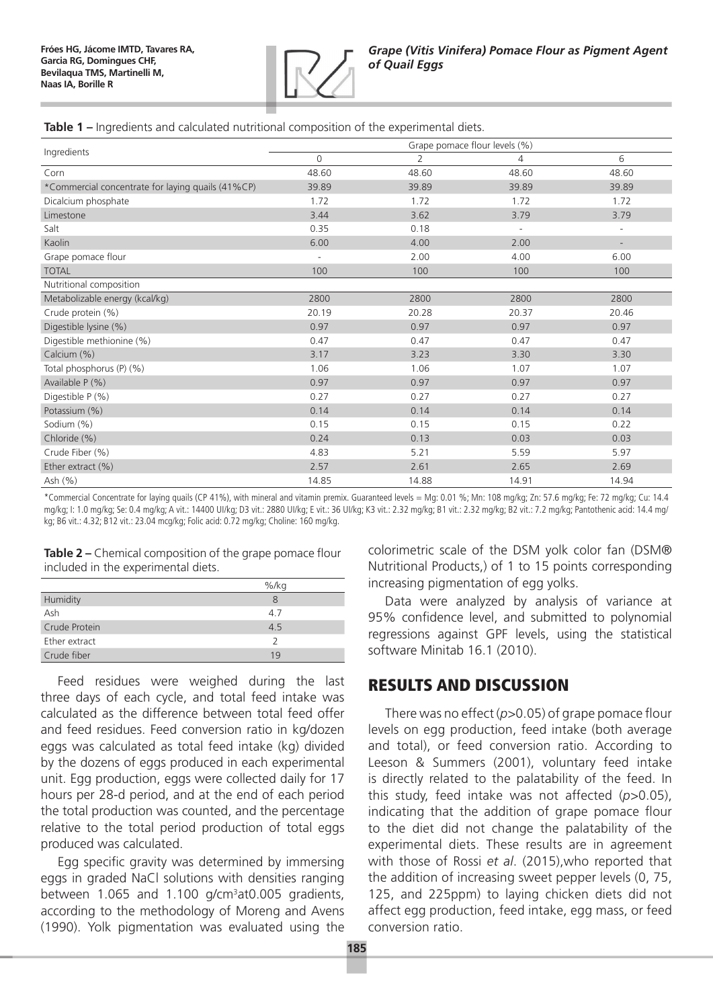

|  |  | <b>Table 1 –</b> Ingredients and calculated nutritional composition of the experimental diets. |  |  |  |  |  |
|--|--|------------------------------------------------------------------------------------------------|--|--|--|--|--|
|--|--|------------------------------------------------------------------------------------------------|--|--|--|--|--|

|                                                   | Grape pomace flour levels (%) |                |                          |                          |  |  |
|---------------------------------------------------|-------------------------------|----------------|--------------------------|--------------------------|--|--|
| Ingredients                                       | $\Omega$                      | $\overline{2}$ | 4                        | 6                        |  |  |
| Corn                                              | 48.60                         | 48.60          | 48.60                    | 48.60                    |  |  |
| *Commercial concentrate for laying quails (41%CP) | 39.89                         | 39.89          | 39.89                    | 39.89                    |  |  |
| Dicalcium phosphate                               | 1.72                          | 1.72           | 1.72                     | 1.72                     |  |  |
| Limestone                                         | 3.44                          | 3.62           | 3.79                     | 3.79                     |  |  |
| Salt                                              | 0.35                          | 0.18           | $\overline{\phantom{a}}$ | $\overline{\phantom{a}}$ |  |  |
| Kaolin                                            | 6.00                          | 4.00           | 2.00                     | $\overline{\phantom{a}}$ |  |  |
| Grape pomace flour                                | $\overline{\phantom{a}}$      | 2.00           | 4.00                     | 6.00                     |  |  |
| <b>TOTAL</b>                                      | 100                           | 100            | 100                      | 100                      |  |  |
| Nutritional composition                           |                               |                |                          |                          |  |  |
| Metabolizable energy (kcal/kg)                    | 2800                          | 2800           | 2800                     | 2800                     |  |  |
| Crude protein (%)                                 | 20.19                         | 20.28          | 20.37                    | 20.46                    |  |  |
| Digestible lysine (%)                             | 0.97                          | 0.97           | 0.97                     | 0.97                     |  |  |
| Digestible methionine (%)                         | 0.47                          | 0.47           | 0.47                     | 0.47                     |  |  |
| Calcium (%)                                       | 3.17                          | 3.23           | 3.30                     | 3.30                     |  |  |
| Total phosphorus (P) (%)                          | 1.06                          | 1.06           | 1.07                     | 1.07                     |  |  |
| Available P (%)                                   | 0.97                          | 0.97           | 0.97                     | 0.97                     |  |  |
| Digestible P (%)                                  | 0.27                          | 0.27           | 0.27                     | 0.27                     |  |  |
| Potassium (%)                                     | 0.14                          | 0.14           | 0.14                     | 0.14                     |  |  |
| Sodium (%)                                        | 0.15                          | 0.15           | 0.15                     | 0.22                     |  |  |
| Chloride (%)                                      | 0.24                          | 0.13           | 0.03                     | 0.03                     |  |  |
| Crude Fiber (%)                                   | 4.83                          | 5.21           | 5.59                     | 5.97                     |  |  |
| Ether extract $(\%)$                              | 2.57                          | 2.61           | 2.65                     | 2.69                     |  |  |
| Ash (%)                                           | 14.85                         | 14.88          | 14.91                    | 14.94                    |  |  |

\*Commercial Concentrate for laying quails (CP 41%), with mineral and vitamin premix. Guaranteed levels = Mg: 0.01 %; Mn: 108 mg/kg; Zn: 57.6 mg/kg; Fe: 72 mg/kg; Cu: 14.4 mg/kg; I: 1.0 mg/kg; Se: 0.4 mg/kg; A vit.: 14400 UI/kg; D3 vit.: 2880 UI/kg; E vit.: 36 UI/kg; K3 vit.: 2.32 mg/kg; B1 vit.: 2.32 mg/kg; B2 vit.: 7.2 mg/kg; Pantothenic acid: 14.4 mg/ kg; B6 vit.: 4.32; B12 vit.: 23.04 mcg/kg; Folic acid: 0.72 mg/kg; Choline: 160 mg/kg.

**Table 2 –** Chemical composition of the grape pomace flour included in the experimental diets.

|               | $%$ /kg |
|---------------|---------|
| Humidity      | 8       |
| Ash           | 4.7     |
| Crude Protein | 4.5     |
| Ether extract | 7       |
| Crude fiber   | 19      |

Feed residues were weighed during the last three days of each cycle, and total feed intake was calculated as the difference between total feed offer and feed residues. Feed conversion ratio in kg/dozen eggs was calculated as total feed intake (kg) divided by the dozens of eggs produced in each experimental unit. Egg production, eggs were collected daily for 17 hours per 28-d period, and at the end of each period the total production was counted, and the percentage relative to the total period production of total eggs produced was calculated.

Egg specific gravity was determined by immersing eggs in graded NaCl solutions with densities ranging between  $1.065$  and  $1.100$  g/cm<sup>3</sup>at0.005 gradients, according to the methodology of Moreng and Avens (1990). Yolk pigmentation was evaluated using the

colorimetric scale of the DSM yolk color fan (DSM® Nutritional Products,) of 1 to 15 points corresponding increasing pigmentation of egg yolks.

Data were analyzed by analysis of variance at 95% confidence level, and submitted to polynomial regressions against GPF levels, using the statistical software Minitab 16.1 (2010).

## RESULTS AND DISCUSSION

There was no effect (*p>*0.05) of grape pomace flour levels on egg production, feed intake (both average and total), or feed conversion ratio. According to Leeson & Summers (2001), voluntary feed intake is directly related to the palatability of the feed. In this study, feed intake was not affected (*p>*0.05), indicating that the addition of grape pomace flour to the diet did not change the palatability of the experimental diets. These results are in agreement with those of Rossi *et al*. (2015),who reported that the addition of increasing sweet pepper levels (0, 75, 125, and 225ppm) to laying chicken diets did not affect egg production, feed intake, egg mass, or feed conversion ratio.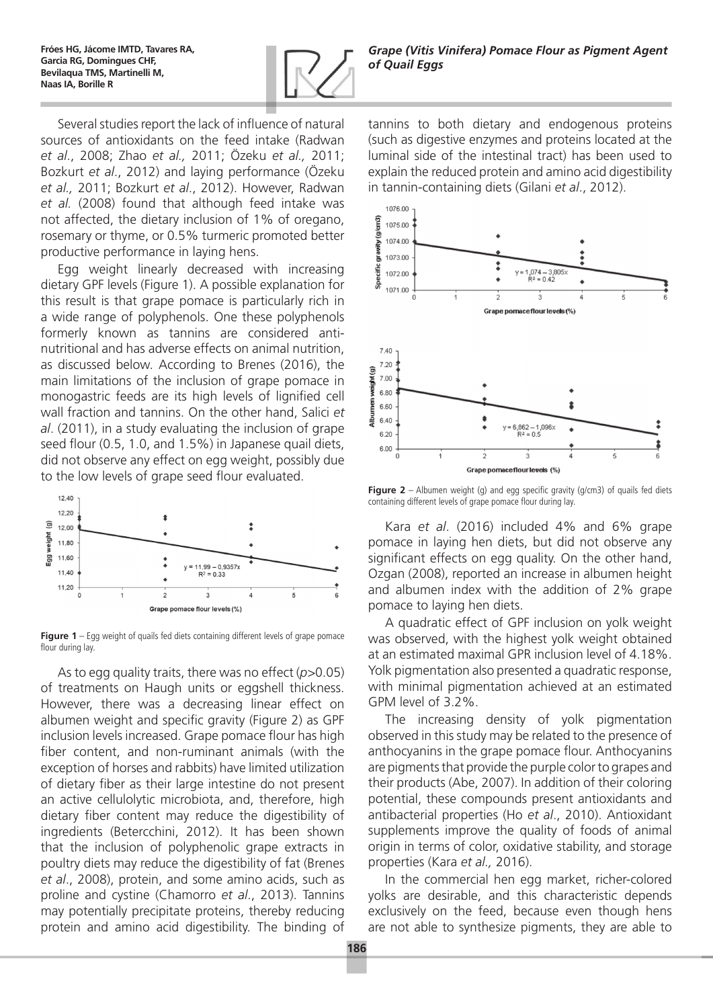

Several studies report the lack of influence of natural sources of antioxidants on the feed intake (Radwan *et al*., 2008; Zhao *et al.,* 2011; Özeku *et al.,* 2011; Bozkurt *et al*., 2012) and laying performance (Özeku *et al.,* 2011; Bozkurt *et al*., 2012). However, Radwan *et al.* (2008) found that although feed intake was not affected, the dietary inclusion of 1% of oregano, rosemary or thyme, or 0.5% turmeric promoted better productive performance in laying hens.

Egg weight linearly decreased with increasing dietary GPF levels (Figure 1). A possible explanation for this result is that grape pomace is particularly rich in a wide range of polyphenols. One these polyphenols formerly known as tannins are considered antinutritional and has adverse effects on animal nutrition, as discussed below. According to Brenes (2016), the main limitations of the inclusion of grape pomace in monogastric feeds are its high levels of lignified cell wall fraction and tannins. On the other hand, Salici *et al*. (2011), in a study evaluating the inclusion of grape seed flour (0.5, 1.0, and 1.5%) in Japanese quail diets, did not observe any effect on egg weight, possibly due to the low levels of grape seed flour evaluated.



**Figure 1** – Egg weight of quails fed diets containing different levels of grape pomace flour during lay.

As to egg quality traits, there was no effect (*p>*0.05) of treatments on Haugh units or eggshell thickness. However, there was a decreasing linear effect on albumen weight and specific gravity (Figure 2) as GPF inclusion levels increased. Grape pomace flour has high fiber content, and non-ruminant animals (with the exception of horses and rabbits) have limited utilization of dietary fiber as their large intestine do not present an active cellulolytic microbiota, and, therefore, high dietary fiber content may reduce the digestibility of ingredients (Betercchini, 2012). It has been shown that the inclusion of polyphenolic grape extracts in poultry diets may reduce the digestibility of fat (Brenes *et al*., 2008), protein, and some amino acids, such as proline and cystine (Chamorro *et al*., 2013). Tannins may potentially precipitate proteins, thereby reducing protein and amino acid digestibility. The binding of tannins to both dietary and endogenous proteins (such as digestive enzymes and proteins located at the luminal side of the intestinal tract) has been used to explain the reduced protein and amino acid digestibility in tannin-containing diets (Gilani *et al*., 2012).



**Figure 2** – Albumen weight (g) and egg specific gravity (g/cm3) of quails fed diets containing different levels of grape pomace flour during lay.

Kara *et al*. (2016) included 4% and 6% grape pomace in laying hen diets, but did not observe any significant effects on egg quality. On the other hand, Ozgan (2008), reported an increase in albumen height and albumen index with the addition of 2% grape pomace to laying hen diets.

A quadratic effect of GPF inclusion on yolk weight was observed, with the highest yolk weight obtained at an estimated maximal GPR inclusion level of 4.18%. Yolk pigmentation also presented a quadratic response, with minimal pigmentation achieved at an estimated GPM level of 3.2%.

The increasing density of yolk pigmentation observed in this study may be related to the presence of anthocyanins in the grape pomace flour. Anthocyanins are pigments that provide the purple color to grapes and their products (Abe, 2007). In addition of their coloring potential, these compounds present antioxidants and antibacterial properties (Ho *et al*., 2010). Antioxidant supplements improve the quality of foods of animal origin in terms of color, oxidative stability, and storage properties (Kara *et al.,* 2016).

In the commercial hen egg market, richer-colored yolks are desirable, and this characteristic depends exclusively on the feed, because even though hens are not able to synthesize pigments, they are able to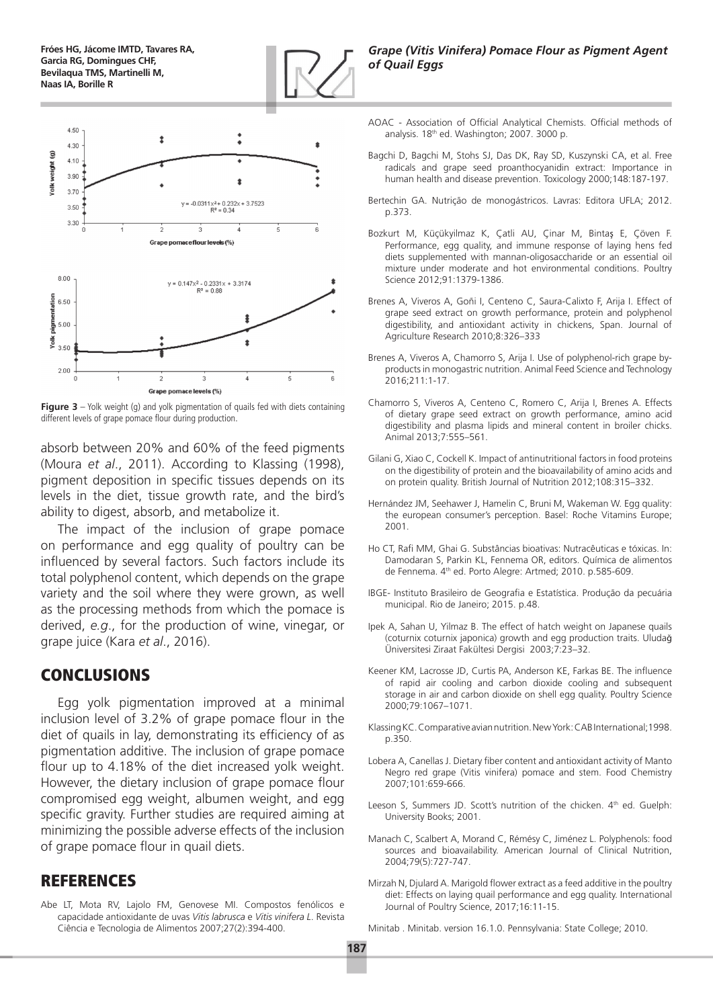



**Figure 3** – Yolk weight (g) and yolk pigmentation of quails fed with diets containing different levels of grape pomace flour during production.

absorb between 20% and 60% of the feed pigments (Moura *et al*., 2011). According to Klassing (1998), pigment deposition in specific tissues depends on its levels in the diet, tissue growth rate, and the bird's ability to digest, absorb, and metabolize it.

The impact of the inclusion of grape pomace on performance and egg quality of poultry can be influenced by several factors. Such factors include its total polyphenol content, which depends on the grape variety and the soil where they were grown, as well as the processing methods from which the pomace is derived, *e.g*., for the production of wine, vinegar, or grape juice (Kara *et al*., 2016).

## CONCLUSIONS

Egg yolk pigmentation improved at a minimal inclusion level of 3.2% of grape pomace flour in the diet of quails in lay, demonstrating its efficiency of as pigmentation additive. The inclusion of grape pomace flour up to 4.18% of the diet increased yolk weight. However, the dietary inclusion of grape pomace flour compromised egg weight, albumen weight, and egg specific gravity. Further studies are required aiming at minimizing the possible adverse effects of the inclusion of grape pomace flour in quail diets.

### REFERENCES

Abe LT, Mota RV, Lajolo FM, Genovese MI. Compostos fenólicos e capacidade antioxidante de uvas *Vitis labrusca* e *Vitis vinifera L*. Revista Ciência e Tecnologia de Alimentos 2007;27(2):394-400.

- AOAC Association of Official Analytical Chemists. Official methods of analysis. 18th ed. Washington; 2007. 3000 p.
- Bagchi D, Bagchi M, Stohs SJ, Das DK, Ray SD, Kuszynski CA, et al. Free radicals and grape seed proanthocyanidin extract: Importance in human health and disease prevention. Toxicology 2000;148:187-197.
- Bertechin GA. Nutrição de monogástricos. Lavras: Editora UFLA; 2012. p.373.
- Bozkurt M, Küçükyilmaz K, Çatli AU, Çinar M, Bintaş E, Çöven F. Performance, egg quality, and immune response of laying hens fed diets supplemented with mannan-oligosaccharide or an essential oil mixture under moderate and hot environmental conditions. Poultry Science 2012;91:1379-1386.
- Brenes A, Viveros A, Goñi I, Centeno C, Saura-Calixto F, Arija I. Effect of grape seed extract on growth performance, protein and polyphenol digestibility, and antioxidant activity in chickens, Span. Journal of Agriculture Research 2010;8:326–333
- Brenes A, Viveros A, Chamorro S, Arija I. Use of polyphenol-rich grape byproducts in monogastric nutrition. Animal Feed Science and Technology 2016;211:1-17.
- Chamorro S, Viveros A, Centeno C, Romero C, Arija I, Brenes A. Effects of dietary grape seed extract on growth performance, amino acid digestibility and plasma lipids and mineral content in broiler chicks. Animal 2013;7:555–561.
- Gilani G, Xiao C, Cockell K. Impact of antinutritional factors in food proteins on the digestibility of protein and the bioavailability of amino acids and on protein quality. British Journal of Nutrition 2012;108:315–332.
- Hernández JM, Seehawer J, Hamelin C, Bruni M, Wakeman W. Egg quality: the european consumer's perception. Basel: Roche Vitamins Europe; 2001.
- Ho CT, Rafi MM, Ghai G. Substâncias bioativas: Nutracêuticas e tóxicas. In: Damodaran S, Parkin KL, Fennema OR, editors. Química de alimentos de Fennema. 4th ed. Porto Alegre: Artmed; 2010. p.585-609.
- IBGE- Instituto Brasileiro de Geografia e Estatística. Produção da pecuária municipal. Rio de Janeiro; 2015. p.48.
- Ipek A, Sahan U, Yilmaz B. The effect of hatch weight on Japanese quails (coturnix coturnix japonica) growth and egg production traits. Uludağ Üniversitesi Ziraat Fakültesi Dergisi 2003;7:23–32.
- Keener KM, Lacrosse JD, Curtis PA, Anderson KE, Farkas BE. The influence of rapid air cooling and carbon dioxide cooling and subsequent storage in air and carbon dioxide on shell egg quality. Poultry Science 2000;79:1067–1071.
- Klassing KC. Comparative avian nutrition. New York: CAB International;1998. p.350.
- Lobera A, Canellas J. Dietary fiber content and antioxidant activity of Manto Negro red grape (Vitis vinifera) pomace and stem. Food Chemistry 2007;101:659-666.
- Leeson S, Summers JD. Scott's nutrition of the chicken. 4<sup>th</sup> ed. Guelph: University Books; 2001.
- Manach C, Scalbert A, Morand C, Rémésy C, Jiménez L. Polyphenols: food sources and bioavailability. American Journal of Clinical Nutrition, 2004;79(5):727-747.
- Mirzah N, Djulard A. Marigold flower extract as a feed additive in the poultry diet: Effects on laying quail performance and egg quality. International Journal of Poultry Science, 2017;16:11-15.

Minitab . Minitab. version 16.1.0. Pennsylvania: State College; 2010.